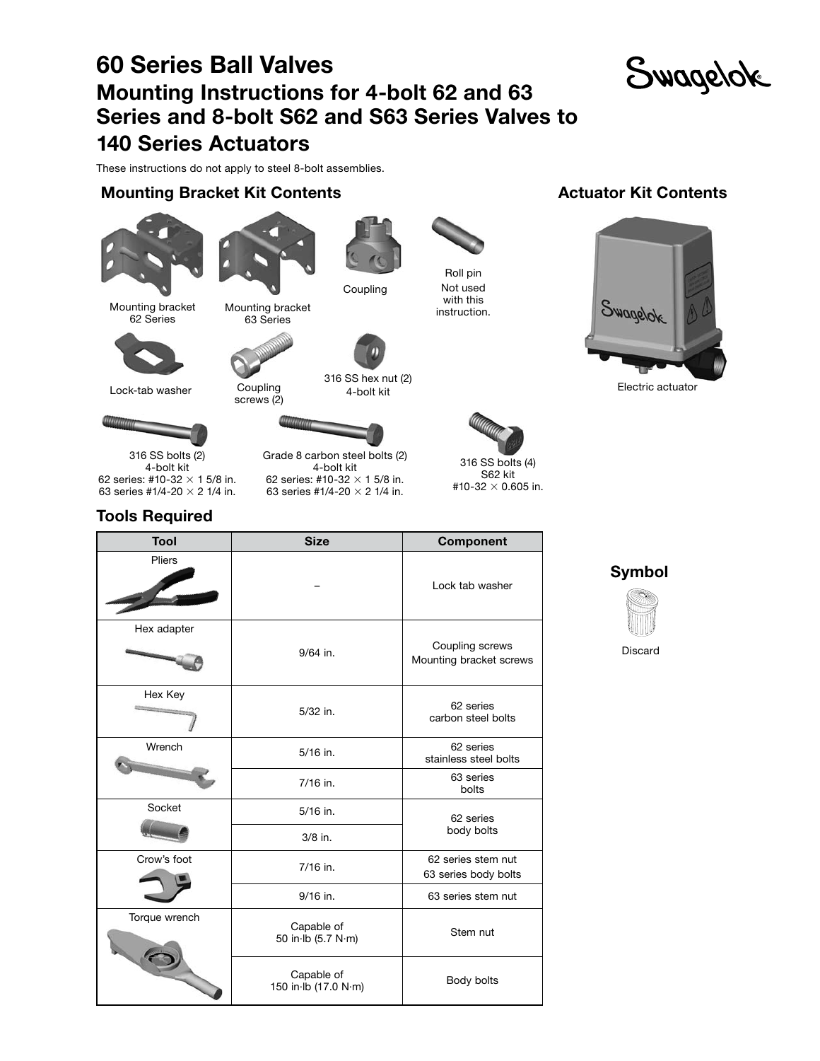# 60 Series Ball Valves Mounting Instructions for 4-bolt 62 and 63 Series and 8-bolt S62 and S63 Series Valves to 140 Series Actuators



These instructions do not apply to steel 8-bolt assemblies.

#### Mounting Bracket Kit Contents







Coupling

Mounting bracket Mounting bracket methods instruction. 62 Series



Lock-tab washer

316 SS hex nut (2) Coupling **6.1999** 4-bolt kit screws (2)



Grade 8 carbon steel bolts (2) 4-bolt kit 62 series: #10-32  $\times$  1 5/8 in. 63 series #1/4-20  $\times$  2 1/4 in.



Roll pin Not used with this<br>instruction.

S62 kit #10-32  $\times$  0.605 in.

Actuator Kit Contents



Electric actuator

316 SS bolts (2) 4-bolt kit 62 series: #10-32  $\times$  1 5/8 in. 63 series #1/4-20  $\times$  2 1/4 in.

### Tools Required

| Tool          | <b>Size</b>                        | <b>Component</b>                           |  |  |
|---------------|------------------------------------|--------------------------------------------|--|--|
| Pliers        |                                    | Lock tab washer                            |  |  |
| Hex adapter   | $9/64$ in.                         | Coupling screws<br>Mounting bracket screws |  |  |
| Hex Key       | 5/32 in.                           | 62 series<br>carbon steel bolts            |  |  |
| Wrench        | $5/16$ in.                         | 62 series<br>stainless steel bolts         |  |  |
|               | 7/16 in.                           | 63 series<br>bolts                         |  |  |
| Socket        | 5/16 in.                           | 62 series                                  |  |  |
|               | $3/8$ in.                          | body bolts                                 |  |  |
| Crow's foot   | 7/16 in.                           | 62 series stem nut<br>63 series body bolts |  |  |
|               | 9/16 in.                           | 63 series stem nut                         |  |  |
| Torque wrench | Capable of<br>50 in Ib (5.7 N·m)   | Stem nut                                   |  |  |
|               | Capable of<br>150 in Ib (17.0 N·m) | Body bolts                                 |  |  |





Discard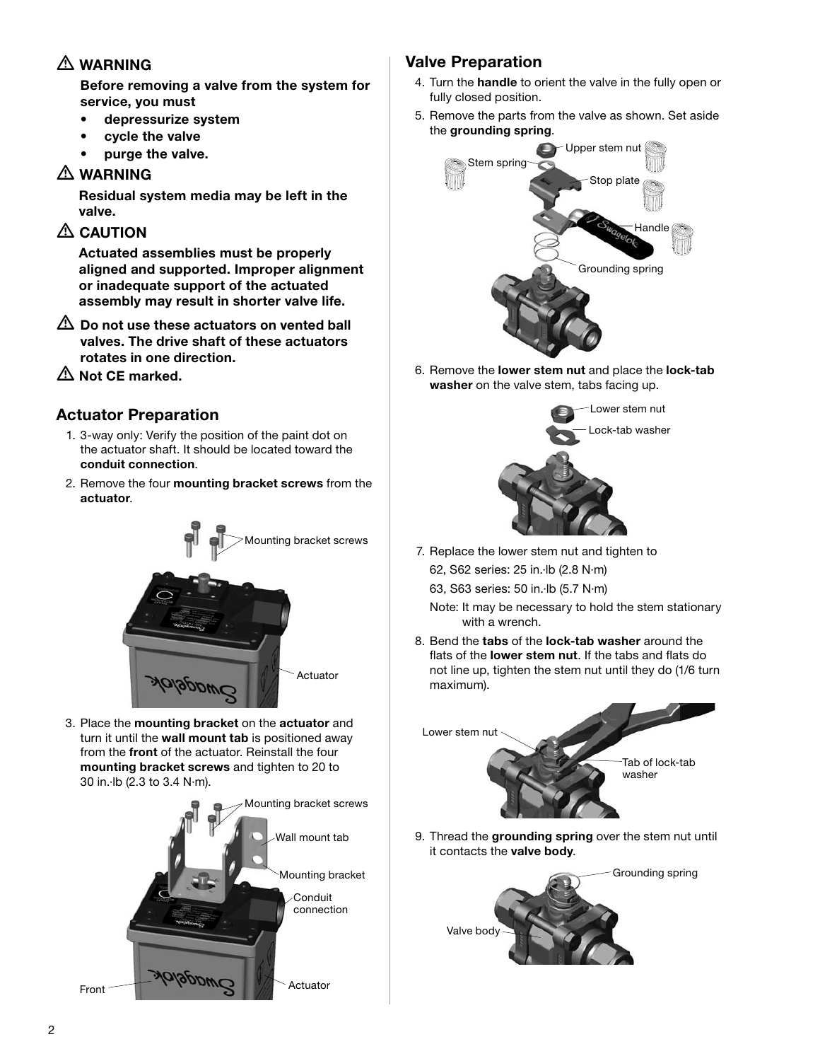## $\triangle$  WARNING

 Before removing a valve from the system for service, you must

- depressurize system
- • cycle the valve
- purge the valve.

#### $\triangle$  WARNING

 Residual system media may be left in the valve.

### $\triangle$  CAUTION

 Actuated assemblies must be properly aligned and supported. Improper alignment or inadequate support of the actuated assembly may result in shorter valve life.

- $\triangle$  Do not use these actuators on vented ball valves. The drive shaft of these actuators rotates in one direction.
- $\triangle$  Not CE marked.

### Actuator Preparation

- 1. 3-way only: Verify the position of the paint dot on the actuator shaft. It should be located toward the conduit connection.
- 2. Remove the four mounting bracket screws from the actuator.



3. Place the mounting bracket on the actuator and turn it until the wall mount tab is positioned away from the front of the actuator. Reinstall the four mounting bracket screws and tighten to 20 to 30 in.·lb (2.3 to 3.4 N·m).



## Valve Preparation

- 4. Turn the handle to orient the valve in the fully open or fully closed position.
- 5. Remove the parts from the valve as shown. Set aside the grounding spring.



6. Remove the lower stem nut and place the lock-tab washer on the valve stem, tabs facing up.



7. Replace the lower stem nut and tighten to 62, S62 series: 25 in.·lb (2.8 N·m)

63, S63 series: 50 in.·lb (5.7 N·m)

 Note: It may be necessary to hold the stem stationary with a wrench.

8. Bend the **tabs** of the **lock-tab washer** around the flats of the lower stem nut. If the tabs and flats do not line up, tighten the stem nut until they do (1/6 turn maximum).



9. Thread the grounding spring over the stem nut until it contacts the valve body.

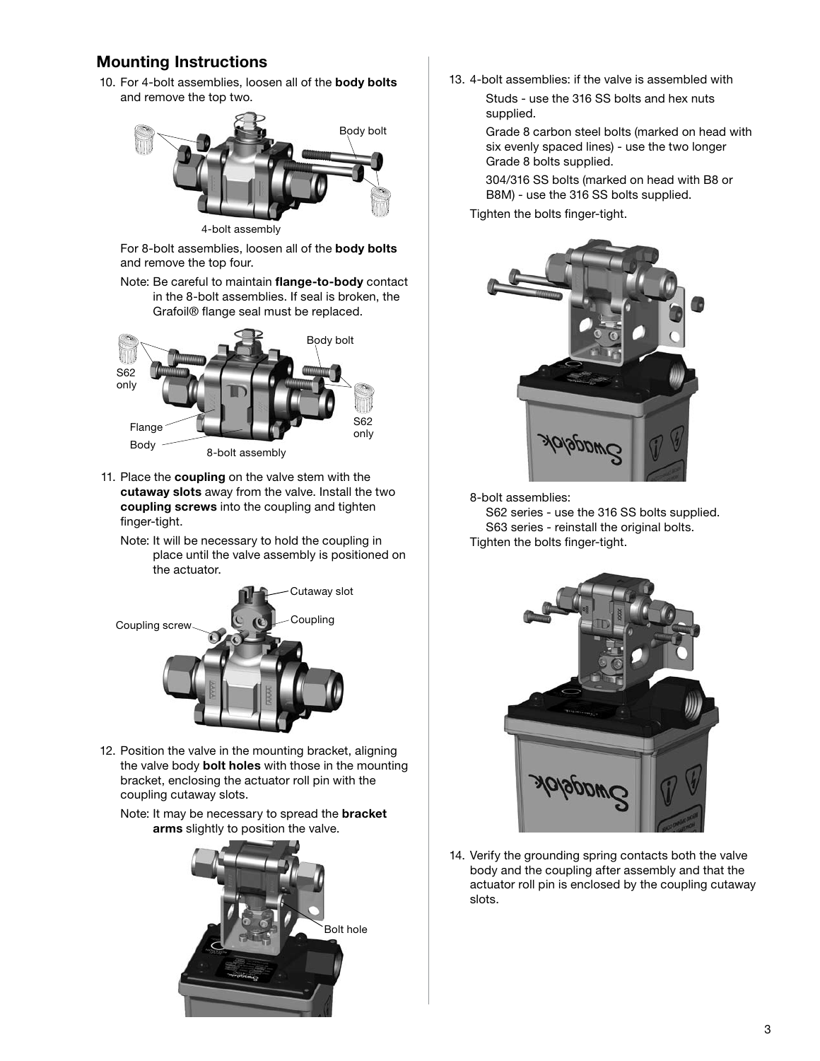#### Mounting Instructions

10. For 4-bolt assemblies, loosen all of the body bolts and remove the top two.



4-bolt assembly

 For 8-bolt assemblies, loosen all of the body bolts and remove the top four.

 Note: Be careful to maintain flange-to-body contact in the 8-bolt assemblies. If seal is broken, the Grafoil® flange seal must be replaced.



- 11. Place the coupling on the valve stem with the cutaway slots away from the valve. Install the two coupling screws into the coupling and tighten finger-tight.
	- Note: It will be necessary to hold the coupling in place until the valve assembly is positioned on the actuator.



- 12. Position the valve in the mounting bracket, aligning the valve body **bolt holes** with those in the mounting bracket, enclosing the actuator roll pin with the coupling cutaway slots.
	- Note: It may be necessary to spread the **bracket** arms slightly to position the valve.



13. 4-bolt assemblies: if the valve is assembled with Studs - use the 316 SS bolts and hex nuts supplied.

> Grade 8 carbon steel bolts (marked on head with six evenly spaced lines) - use the two longer Grade 8 bolts supplied.

 304/316 SS bolts (marked on head with B8 or B8M) - use the 316 SS bolts supplied.

Tighten the bolts finger-tight.



8-bolt assemblies:

 S62 series - use the 316 SS bolts supplied. S63 series - reinstall the original bolts. Tighten the bolts finger-tight.



14. Verify the grounding spring contacts both the valve body and the coupling after assembly and that the actuator roll pin is enclosed by the coupling cutaway slots.